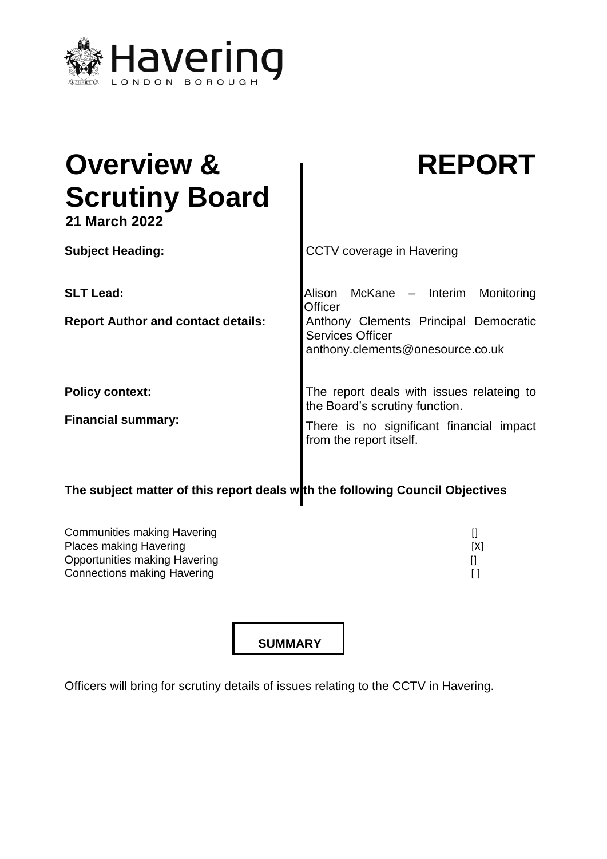

| <b>Overview &amp;</b><br><b>Scrutiny Board</b><br><b>21 March 2022</b> | <b>REPORT</b>                                                                                                                                               |
|------------------------------------------------------------------------|-------------------------------------------------------------------------------------------------------------------------------------------------------------|
| <b>Subject Heading:</b>                                                | <b>CCTV</b> coverage in Havering                                                                                                                            |
| <b>SLT Lead:</b><br><b>Report Author and contact details:</b>          | McKane - Interim<br>Alison<br>Monitoring<br>Officer<br>Anthony Clements Principal Democratic<br><b>Services Officer</b><br>anthony.clements@onesource.co.uk |
| <b>Policy context:</b><br><b>Financial summary:</b>                    | The report deals with issues relateing to<br>the Board's scrutiny function.<br>There is no significant financial impact<br>from the report itself.          |

# The subject matter of this report deals w**ith the following Council Objectives**

| Communities making Havering        |     |
|------------------------------------|-----|
| <b>Places making Havering</b>      | [X] |
| Opportunities making Havering      |     |
| <b>Connections making Havering</b> |     |

**SUMMARY**

Officers will bring for scrutiny details of issues relating to the CCTV in Havering.